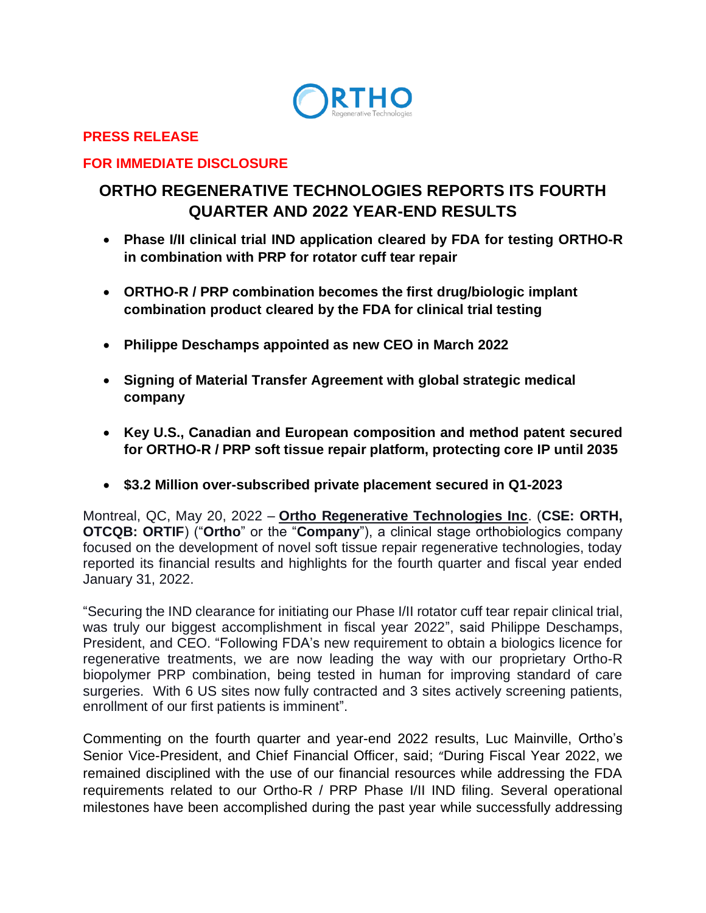

#### **PRESS RELEASE**

#### **FOR IMMEDIATE DISCLOSURE**

# **ORTHO REGENERATIVE TECHNOLOGIES REPORTS ITS FOURTH QUARTER AND 2022 YEAR-END RESULTS**

- **Phase I/II clinical trial IND application cleared by FDA for testing ORTHO-R in combination with PRP for rotator cuff tear repair**
- **ORTHO-R / PRP combination becomes the first drug/biologic implant combination product cleared by the FDA for clinical trial testing**
- **Philippe Deschamps appointed as new CEO in March 2022**
- **Signing of Material Transfer Agreement with global strategic medical company**
- **Key U.S., Canadian and European composition and method patent secured for ORTHO-R / PRP soft tissue repair platform, protecting core IP until 2035**
- **\$3.2 Million over-subscribed private placement secured in Q1-2023**

Montreal, QC, May 20, 2022 – **[Ortho Regenerative Technologies Inc](https://www.orthorti.com/)**. (**CSE: ORTH, OTCQB: ORTIF**) ("**Ortho**" or the "**Company**"), a clinical stage orthobiologics company focused on the development of novel soft tissue repair regenerative technologies, today reported its financial results and highlights for the fourth quarter and fiscal year ended January 31, 2022.

"Securing the IND clearance for initiating our Phase I/II rotator cuff tear repair clinical trial, was truly our biggest accomplishment in fiscal year 2022", said Philippe Deschamps, President, and CEO. "Following FDA's new requirement to obtain a biologics licence for regenerative treatments, we are now leading the way with our proprietary Ortho-R biopolymer PRP combination, being tested in human for improving standard of care surgeries. With 6 US sites now fully contracted and 3 sites actively screening patients, enrollment of our first patients is imminent".

Commenting on the fourth quarter and year-end 2022 results, Luc Mainville, Ortho's Senior Vice-President, and Chief Financial Officer, said; "During Fiscal Year 2022, we remained disciplined with the use of our financial resources while addressing the FDA requirements related to our Ortho-R / PRP Phase I/II IND filing. Several operational milestones have been accomplished during the past year while successfully addressing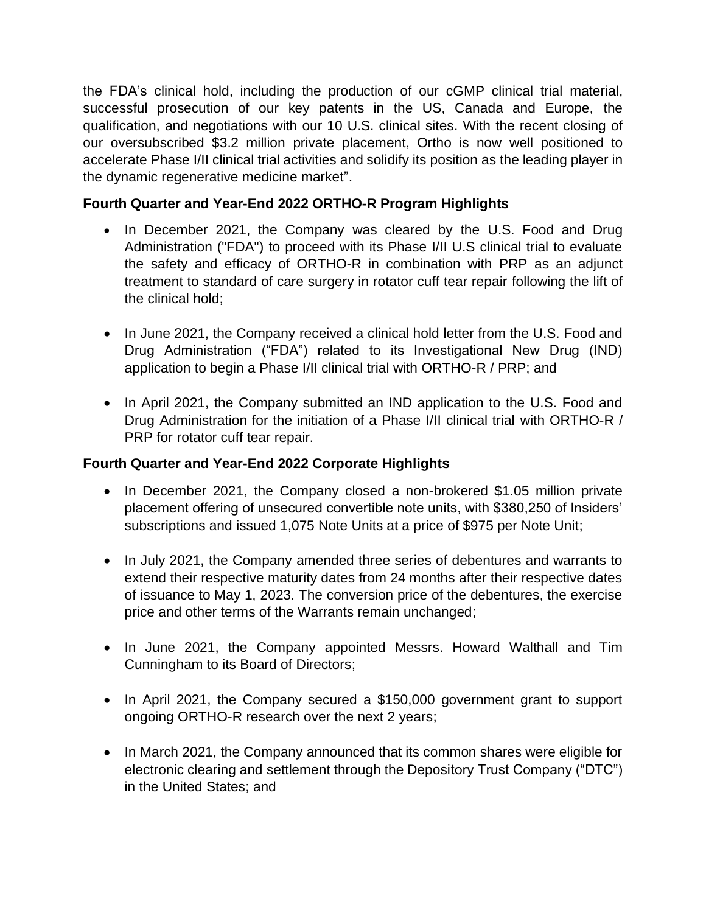the FDA's clinical hold, including the production of our cGMP clinical trial material, successful prosecution of our key patents in the US, Canada and Europe, the qualification, and negotiations with our 10 U.S. clinical sites. With the recent closing of our oversubscribed \$3.2 million private placement, Ortho is now well positioned to accelerate Phase I/II clinical trial activities and solidify its position as the leading player in the dynamic regenerative medicine market".

# **Fourth Quarter and Year-End 2022 ORTHO-R Program Highlights**

- In December 2021, the Company was cleared by the U.S. Food and Drug Administration ("FDA") to proceed with its Phase I/II U.S clinical trial to evaluate the safety and efficacy of ORTHO-R in combination with PRP as an adjunct treatment to standard of care surgery in rotator cuff tear repair following the lift of the clinical hold;
- In June 2021, the Company received a clinical hold letter from the U.S. Food and Drug Administration ("FDA") related to its Investigational New Drug (IND) application to begin a Phase I/II clinical trial with ORTHO-R / PRP; and
- In April 2021, the Company submitted an IND application to the U.S. Food and Drug Administration for the initiation of a Phase I/II clinical trial with ORTHO-R / PRP for rotator cuff tear repair.

# **Fourth Quarter and Year-End 2022 Corporate Highlights**

- In December 2021, the Company closed a non-brokered \$1.05 million private placement offering of unsecured convertible note units, with \$380,250 of Insiders' subscriptions and issued 1,075 Note Units at a price of \$975 per Note Unit;
- In July 2021, the Company amended three series of debentures and warrants to extend their respective maturity dates from 24 months after their respective dates of issuance to May 1, 2023. The conversion price of the debentures, the exercise price and other terms of the Warrants remain unchanged;
- In June 2021, the Company appointed Messrs. Howard Walthall and Tim Cunningham to its Board of Directors;
- In April 2021, the Company secured a \$150,000 government grant to support ongoing ORTHO-R research over the next 2 years;
- In March 2021, the Company announced that its common shares were eligible for electronic clearing and settlement through the Depository Trust Company ("DTC") in the United States; and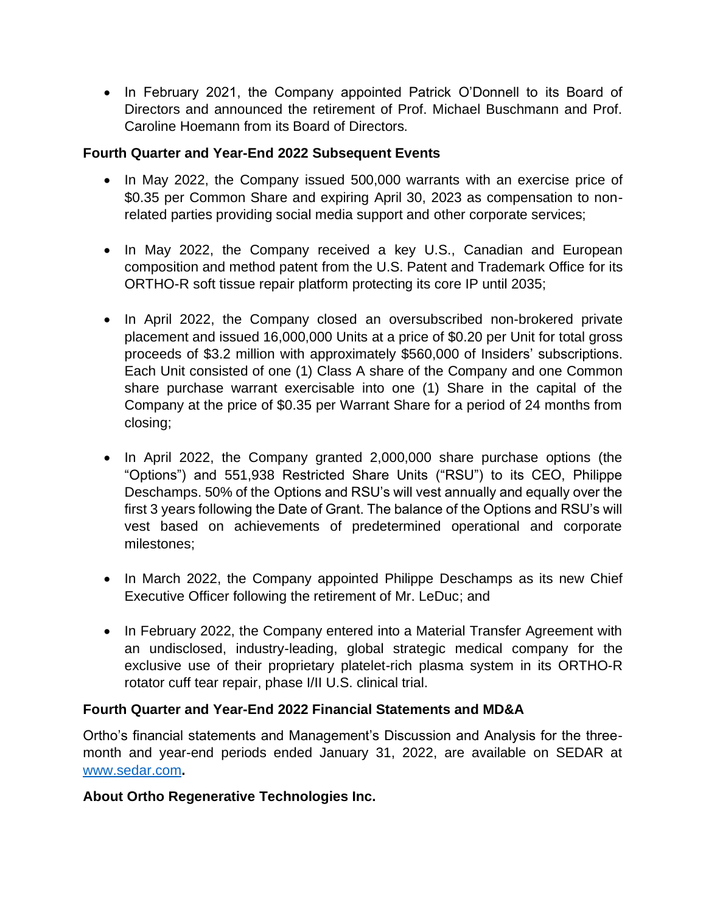• In February 2021, the Company appointed Patrick O'Donnell to its Board of Directors and announced the retirement of Prof. Michael Buschmann and Prof. Caroline Hoemann from its Board of Directors.

# **Fourth Quarter and Year-End 2022 Subsequent Events**

- In May 2022, the Company issued 500,000 warrants with an exercise price of \$0.35 per Common Share and expiring April 30, 2023 as compensation to nonrelated parties providing social media support and other corporate services;
- In May 2022, the Company received a key U.S., Canadian and European composition and method patent from the U.S. Patent and Trademark Office for its ORTHO-R soft tissue repair platform protecting its core IP until 2035;
- In April 2022, the Company closed an oversubscribed non-brokered private placement and issued 16,000,000 Units at a price of \$0.20 per Unit for total gross proceeds of \$3.2 million with approximately \$560,000 of Insiders' subscriptions. Each Unit consisted of one (1) Class A share of the Company and one Common share purchase warrant exercisable into one (1) Share in the capital of the Company at the price of \$0.35 per Warrant Share for a period of 24 months from closing;
- In April 2022, the Company granted 2,000,000 share purchase options (the "Options") and 551,938 Restricted Share Units ("RSU") to its CEO, Philippe Deschamps. 50% of the Options and RSU's will vest annually and equally over the first 3 years following the Date of Grant. The balance of the Options and RSU's will vest based on achievements of predetermined operational and corporate milestones;
- In March 2022, the Company appointed Philippe Deschamps as its new Chief Executive Officer following the retirement of Mr. LeDuc; and
- In February 2022, the Company entered into a Material Transfer Agreement with an undisclosed, industry-leading, global strategic medical company for the exclusive use of their proprietary platelet-rich plasma system in its ORTHO-R rotator cuff tear repair, phase I/II U.S. clinical trial.

#### **Fourth Quarter and Year-End 2022 Financial Statements and MD&A**

Ortho's financial statements and Management's Discussion and Analysis for the threemonth and year-end periods ended January 31, 2022, are available on SEDAR at [www.sedar.com](http://www.sedar.com/)**.**

#### **About Ortho Regenerative Technologies Inc.**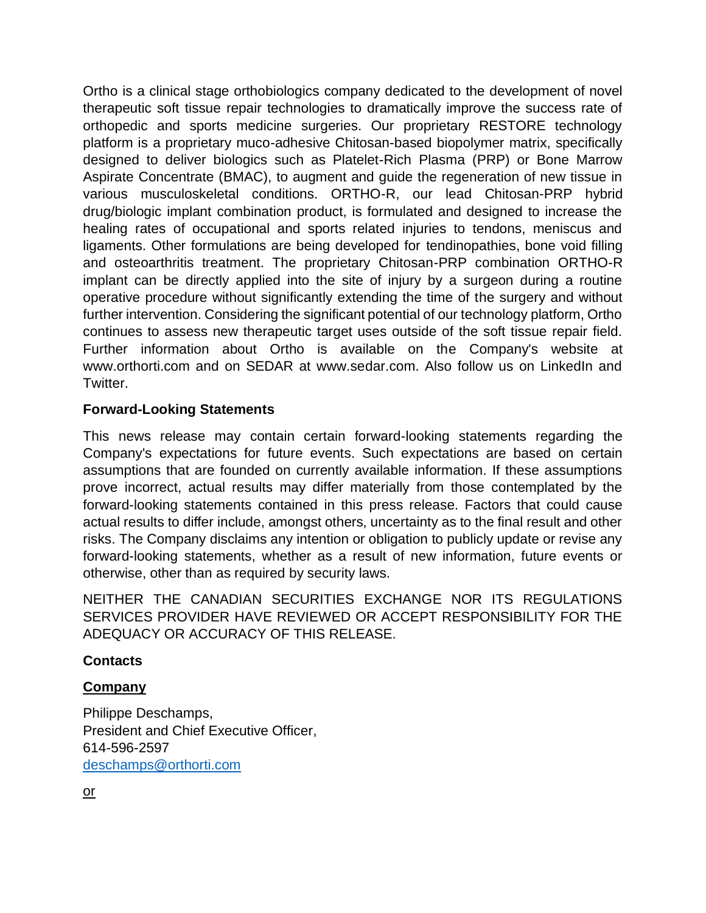Ortho is a clinical stage orthobiologics company dedicated to the development of novel therapeutic soft tissue repair technologies to dramatically improve the success rate of orthopedic and sports medicine surgeries. Our proprietary RESTORE technology platform is a proprietary muco-adhesive Chitosan-based biopolymer matrix, specifically designed to deliver biologics such as Platelet-Rich Plasma (PRP) or Bone Marrow Aspirate Concentrate (BMAC), to augment and guide the regeneration of new tissue in various musculoskeletal conditions. ORTHO-R, our lead Chitosan-PRP hybrid drug/biologic implant combination product, is formulated and designed to increase the healing rates of occupational and sports related injuries to tendons, meniscus and ligaments. Other formulations are being developed for tendinopathies, bone void filling and osteoarthritis treatment. The proprietary Chitosan-PRP combination ORTHO-R implant can be directly applied into the site of injury by a surgeon during a routine operative procedure without significantly extending the time of the surgery and without further intervention. Considering the significant potential of our technology platform, Ortho continues to assess new therapeutic target uses outside of the soft tissue repair field. Further information about Ortho is available on the Company's website at www.orthorti.com and on SEDAR at www.sedar.com. Also follow us on LinkedIn and Twitter.

# **Forward-Looking Statements**

This news release may contain certain forward-looking statements regarding the Company's expectations for future events. Such expectations are based on certain assumptions that are founded on currently available information. If these assumptions prove incorrect, actual results may differ materially from those contemplated by the forward-looking statements contained in this press release. Factors that could cause actual results to differ include, amongst others, uncertainty as to the final result and other risks. The Company disclaims any intention or obligation to publicly update or revise any forward-looking statements, whether as a result of new information, future events or otherwise, other than as required by security laws.

NEITHER THE CANADIAN SECURITIES EXCHANGE NOR ITS REGULATIONS SERVICES PROVIDER HAVE REVIEWED OR ACCEPT RESPONSIBILITY FOR THE ADEQUACY OR ACCURACY OF THIS RELEASE.

# **Contacts**

# **Company**

Philippe Deschamps, President and Chief Executive Officer, 614-596-2597 [deschamps@orthorti.com](mailto:deschamps@orthorti.com)